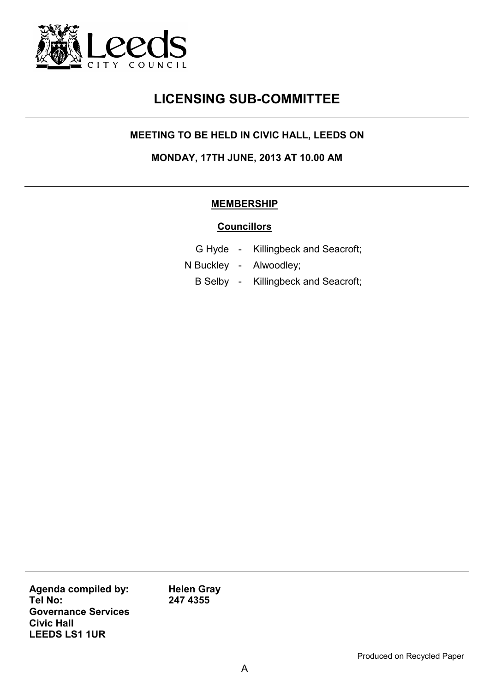

# **LICENSING SUB-COMMITTEE**

### **MEETING TO BE HELD IN CIVIC HALL, LEEDS ON**

**MONDAY, 17TH JUNE, 2013 AT 10.00 AM** 

#### **MEMBERSHIP**

#### **Councillors**

- G Hyde Killingbeck and Seacroft;
- N Buckley Alwoodley;
	- B Selby Killingbeck and Seacroft;

**Agenda compiled by: Tel No: Governance Services Civic Hall LEEDS LS1 1UR** 

**Helen Gray 247 4355**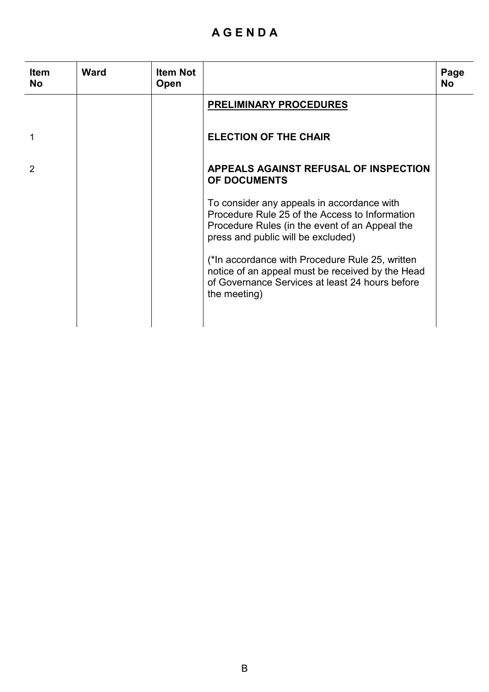## **A G E N D A**

| <b>Item</b><br><b>No</b> | <b>Ward</b> | <b>Item Not</b><br><b>Open</b> |                                                                                                                                                                                      | Page<br><b>No</b> |
|--------------------------|-------------|--------------------------------|--------------------------------------------------------------------------------------------------------------------------------------------------------------------------------------|-------------------|
|                          |             |                                | <b>PRELIMINARY PROCEDURES</b>                                                                                                                                                        |                   |
|                          |             |                                | <b>ELECTION OF THE CHAIR</b>                                                                                                                                                         |                   |
| 2                        |             |                                | <b>APPEALS AGAINST REFUSAL OF INSPECTION</b><br><b>OF DOCUMENTS</b>                                                                                                                  |                   |
|                          |             |                                | To consider any appeals in accordance with<br>Procedure Rule 25 of the Access to Information<br>Procedure Rules (in the event of an Appeal the<br>press and public will be excluded) |                   |
|                          |             |                                | (*In accordance with Procedure Rule 25, written<br>notice of an appeal must be received by the Head<br>of Governance Services at least 24 hours before<br>the meeting)               |                   |
|                          |             |                                |                                                                                                                                                                                      |                   |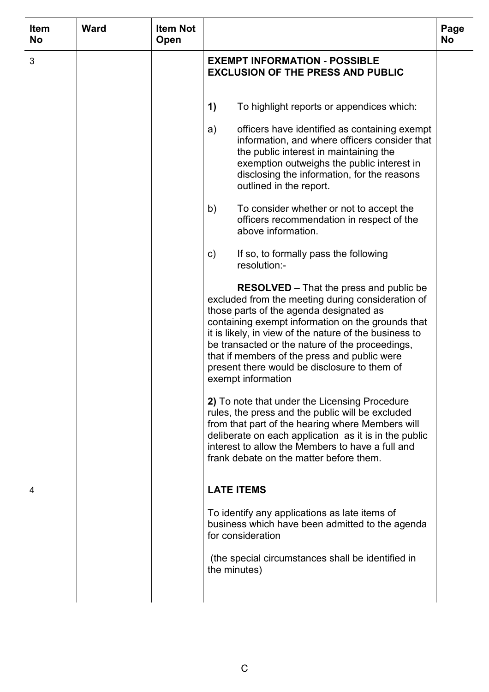| <b>Item</b><br><b>No</b> | <b>Ward</b> | <b>Item Not</b><br>Open |                                                                                                                                                                                                                                                                                                                                                                                                                                        | Page<br><b>No</b> |
|--------------------------|-------------|-------------------------|----------------------------------------------------------------------------------------------------------------------------------------------------------------------------------------------------------------------------------------------------------------------------------------------------------------------------------------------------------------------------------------------------------------------------------------|-------------------|
| 3                        |             |                         | <b>EXEMPT INFORMATION - POSSIBLE</b><br><b>EXCLUSION OF THE PRESS AND PUBLIC</b>                                                                                                                                                                                                                                                                                                                                                       |                   |
|                          |             |                         | $\left( \mathbf{1}\right)$<br>To highlight reports or appendices which:                                                                                                                                                                                                                                                                                                                                                                |                   |
|                          |             |                         | officers have identified as containing exempt<br>a)<br>information, and where officers consider that<br>the public interest in maintaining the<br>exemption outweighs the public interest in<br>disclosing the information, for the reasons<br>outlined in the report.                                                                                                                                                                 |                   |
|                          |             |                         | To consider whether or not to accept the<br>b)<br>officers recommendation in respect of the<br>above information.                                                                                                                                                                                                                                                                                                                      |                   |
|                          |             |                         | If so, to formally pass the following<br>$\mathsf{c})$<br>resolution:-                                                                                                                                                                                                                                                                                                                                                                 |                   |
|                          |             |                         | <b>RESOLVED</b> – That the press and public be<br>excluded from the meeting during consideration of<br>those parts of the agenda designated as<br>containing exempt information on the grounds that<br>it is likely, in view of the nature of the business to<br>be transacted or the nature of the proceedings,<br>that if members of the press and public were<br>present there would be disclosure to them of<br>exempt information |                   |
|                          |             |                         | 2) To note that under the Licensing Procedure<br>rules, the press and the public will be excluded<br>from that part of the hearing where Members will<br>deliberate on each application as it is in the public<br>interest to allow the Members to have a full and<br>frank debate on the matter before them.                                                                                                                          |                   |
| 4                        |             |                         | <b>LATE ITEMS</b>                                                                                                                                                                                                                                                                                                                                                                                                                      |                   |
|                          |             |                         | To identify any applications as late items of<br>business which have been admitted to the agenda<br>for consideration                                                                                                                                                                                                                                                                                                                  |                   |
|                          |             |                         | (the special circumstances shall be identified in<br>the minutes)                                                                                                                                                                                                                                                                                                                                                                      |                   |
|                          |             |                         |                                                                                                                                                                                                                                                                                                                                                                                                                                        |                   |